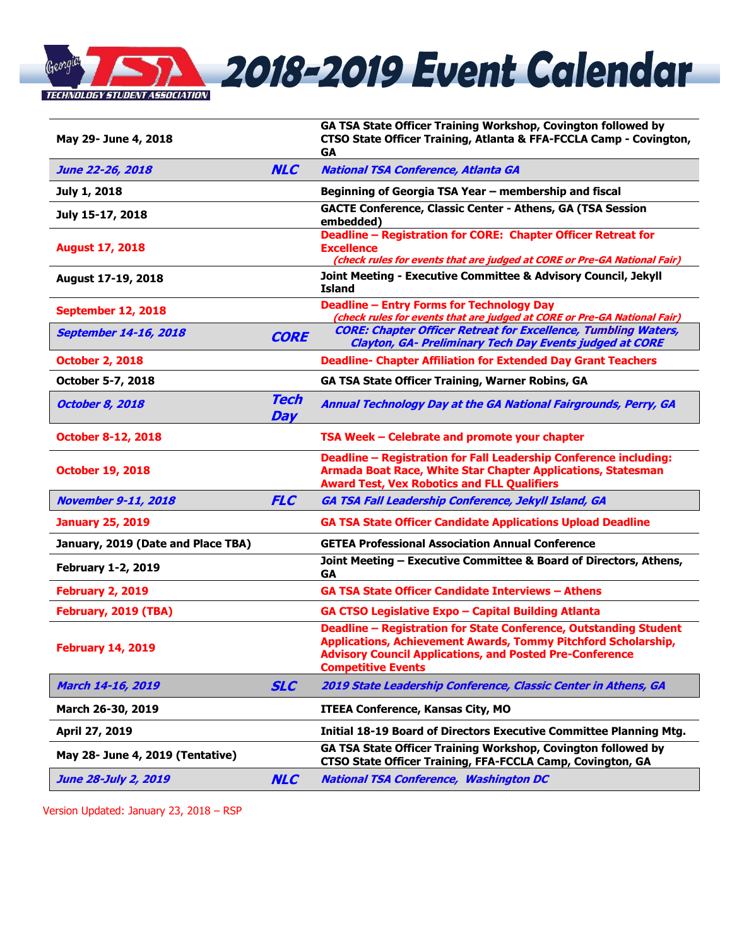

| May 29- June 4, 2018               |                    | GA TSA State Officer Training Workshop, Covington followed by<br>CTSO State Officer Training, Atlanta & FFA-FCCLA Camp - Covington,<br><b>GA</b>                                                                                           |  |
|------------------------------------|--------------------|--------------------------------------------------------------------------------------------------------------------------------------------------------------------------------------------------------------------------------------------|--|
| <b>June 22-26, 2018</b>            | <b>NLC</b>         | <b>National TSA Conference, Atlanta GA</b>                                                                                                                                                                                                 |  |
| July 1, 2018                       |                    | Beginning of Georgia TSA Year - membership and fiscal                                                                                                                                                                                      |  |
| July 15-17, 2018                   |                    | <b>GACTE Conference, Classic Center - Athens, GA (TSA Session</b><br>embedded)                                                                                                                                                             |  |
| <b>August 17, 2018</b>             |                    | Deadline - Registration for CORE: Chapter Officer Retreat for<br><b>Excellence</b><br>(check rules for events that are judged at CORE or Pre-GA National Fair)                                                                             |  |
| August 17-19, 2018                 |                    | Joint Meeting - Executive Committee & Advisory Council, Jekyll<br><b>Island</b>                                                                                                                                                            |  |
| <b>September 12, 2018</b>          |                    | <b>Deadline - Entry Forms for Technology Day</b><br>(check rules for events that are judged at CORE or Pre-GA National Fair)                                                                                                               |  |
| <b>September 14-16, 2018</b>       | <b>CORE</b>        | <b>CORE: Chapter Officer Retreat for Excellence, Tumbling Waters,</b><br><b>Clayton, GA- Preliminary Tech Day Events judged at CORE</b>                                                                                                    |  |
| <b>October 2, 2018</b>             |                    | <b>Deadline- Chapter Affiliation for Extended Day Grant Teachers</b>                                                                                                                                                                       |  |
| October 5-7, 2018                  |                    | GA TSA State Officer Training, Warner Robins, GA                                                                                                                                                                                           |  |
| <b>October 8, 2018</b>             | <b>Tech</b><br>Day | Annual Technology Day at the GA National Fairgrounds, Perry, GA                                                                                                                                                                            |  |
| <b>October 8-12, 2018</b>          |                    | TSA Week - Celebrate and promote your chapter                                                                                                                                                                                              |  |
| <b>October 19, 2018</b>            |                    | Deadline - Registration for Fall Leadership Conference including:<br>Armada Boat Race, White Star Chapter Applications, Statesman<br><b>Award Test, Vex Robotics and FLL Qualifiers</b>                                                    |  |
| <b>November 9-11, 2018</b>         | <b>FLC</b>         | GA TSA Fall Leadership Conference, Jekyll Island, GA                                                                                                                                                                                       |  |
| <b>January 25, 2019</b>            |                    | <b>GA TSA State Officer Candidate Applications Upload Deadline</b>                                                                                                                                                                         |  |
| January, 2019 (Date and Place TBA) |                    | <b>GETEA Professional Association Annual Conference</b>                                                                                                                                                                                    |  |
| <b>February 1-2, 2019</b>          |                    | Joint Meeting - Executive Committee & Board of Directors, Athens,<br><b>GA</b>                                                                                                                                                             |  |
| <b>February 2, 2019</b>            |                    | <b>GA TSA State Officer Candidate Interviews - Athens</b>                                                                                                                                                                                  |  |
| February, 2019 (TBA)               |                    | GA CTSO Legislative Expo - Capital Building Atlanta                                                                                                                                                                                        |  |
| <b>February 14, 2019</b>           |                    | Deadline - Registration for State Conference, Outstanding Student<br><b>Applications, Achievement Awards, Tommy Pitchford Scholarship,</b><br><b>Advisory Council Applications, and Posted Pre-Conference</b><br><b>Competitive Events</b> |  |
| March 14-16, 2019                  | <b>SLC</b>         | 2019 State Leadership Conference, Classic Center in Athens, GA                                                                                                                                                                             |  |
| March 26-30, 2019                  |                    | <b>ITEEA Conference, Kansas City, MO</b>                                                                                                                                                                                                   |  |
| April 27, 2019                     |                    | Initial 18-19 Board of Directors Executive Committee Planning Mtg.                                                                                                                                                                         |  |
| May 28- June 4, 2019 (Tentative)   |                    | GA TSA State Officer Training Workshop, Covington followed by<br>CTSO State Officer Training, FFA-FCCLA Camp, Covington, GA                                                                                                                |  |
| <b>June 28-July 2, 2019</b>        | <b>NLC</b>         | <b>National TSA Conference, Washington DC</b>                                                                                                                                                                                              |  |

Version Updated: January 23, 2018 – RSP